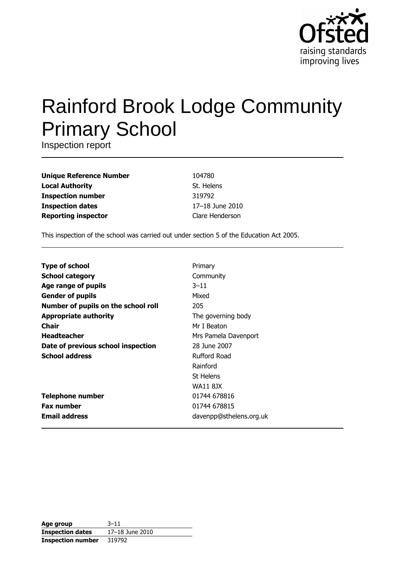

# **Rainford Brook Lodge Community Primary School**

Inspection report

**Unique Reference Number Local Authority Inspection number Inspection dates Reporting inspector** 

104780 St. Helens 319792 17-18 June 2010 Clare Henderson

This inspection of the school was carried out under section 5 of the Education Act 2005.

| <b>Type of school</b>               | Primary                 |
|-------------------------------------|-------------------------|
| <b>School category</b>              | Community               |
| Age range of pupils                 | $3 - 11$                |
| <b>Gender of pupils</b>             | Mixed                   |
| Number of pupils on the school roll | 205                     |
| <b>Appropriate authority</b>        | The governing body      |
| Chair                               | Mr I Beaton             |
| <b>Headteacher</b>                  | Mrs Pamela Davenport    |
| Date of previous school inspection  | 28 June 2007            |
| <b>School address</b>               | Rufford Road            |
|                                     | Rainford                |
|                                     | <b>St Helens</b>        |
|                                     | WA11 8JX                |
| <b>Telephone number</b>             | 01744 678816            |
| <b>Fax number</b>                   | 01744 678815            |
| <b>Email address</b>                | davenpp@sthelens.org.uk |

| Age group                | $3 - 11$        |
|--------------------------|-----------------|
| <b>Inspection dates</b>  | 17-18 June 2010 |
| <b>Inspection number</b> | 319792          |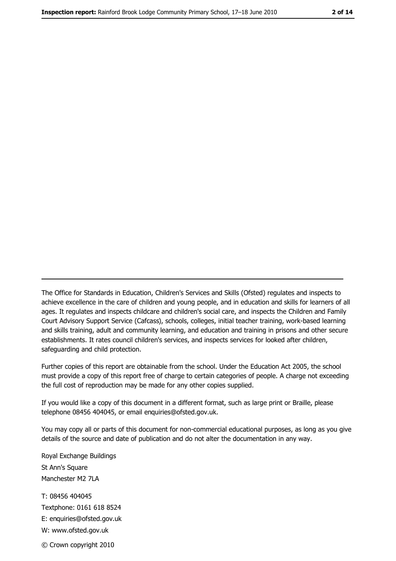The Office for Standards in Education, Children's Services and Skills (Ofsted) regulates and inspects to achieve excellence in the care of children and young people, and in education and skills for learners of all ages. It regulates and inspects childcare and children's social care, and inspects the Children and Family Court Advisory Support Service (Cafcass), schools, colleges, initial teacher training, work-based learning and skills training, adult and community learning, and education and training in prisons and other secure establishments. It rates council children's services, and inspects services for looked after children, safequarding and child protection.

Further copies of this report are obtainable from the school. Under the Education Act 2005, the school must provide a copy of this report free of charge to certain categories of people. A charge not exceeding the full cost of reproduction may be made for any other copies supplied.

If you would like a copy of this document in a different format, such as large print or Braille, please telephone 08456 404045, or email enquiries@ofsted.gov.uk.

You may copy all or parts of this document for non-commercial educational purposes, as long as you give details of the source and date of publication and do not alter the documentation in any way.

Royal Exchange Buildings St Ann's Square Manchester M2 7LA T: 08456 404045 Textphone: 0161 618 8524 E: enquiries@ofsted.gov.uk W: www.ofsted.gov.uk © Crown copyright 2010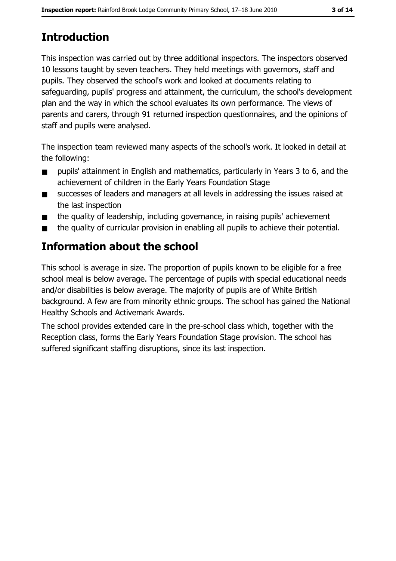# **Introduction**

This inspection was carried out by three additional inspectors. The inspectors observed 10 lessons taught by seven teachers. They held meetings with governors, staff and pupils. They observed the school's work and looked at documents relating to safeguarding, pupils' progress and attainment, the curriculum, the school's development plan and the way in which the school evaluates its own performance. The views of parents and carers, through 91 returned inspection questionnaires, and the opinions of staff and pupils were analysed.

The inspection team reviewed many aspects of the school's work. It looked in detail at the following:

- pupils' attainment in English and mathematics, particularly in Years 3 to 6, and the  $\blacksquare$ achievement of children in the Early Years Foundation Stage
- successes of leaders and managers at all levels in addressing the issues raised at  $\blacksquare$ the last inspection
- the quality of leadership, including governance, in raising pupils' achievement  $\blacksquare$
- the quality of curricular provision in enabling all pupils to achieve their potential.

# **Information about the school**

This school is average in size. The proportion of pupils known to be eligible for a free school meal is below average. The percentage of pupils with special educational needs and/or disabilities is below average. The majority of pupils are of White British background. A few are from minority ethnic groups. The school has gained the National Healthy Schools and Activemark Awards.

The school provides extended care in the pre-school class which, together with the Reception class, forms the Early Years Foundation Stage provision. The school has suffered significant staffing disruptions, since its last inspection.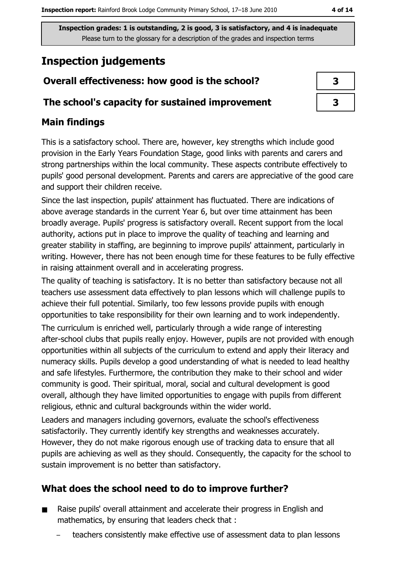# **Inspection judgements**

## Overall effectiveness: how good is the school?

#### The school's capacity for sustained improvement

## **Main findings**

This is a satisfactory school. There are, however, key strengths which include good provision in the Early Years Foundation Stage, good links with parents and carers and strong partnerships within the local community. These aspects contribute effectively to pupils' good personal development. Parents and carers are appreciative of the good care and support their children receive.

Since the last inspection, pupils' attainment has fluctuated. There are indications of above average standards in the current Year 6, but over time attainment has been broadly average. Pupils' progress is satisfactory overall. Recent support from the local authority, actions put in place to improve the quality of teaching and learning and greater stability in staffing, are beginning to improve pupils' attainment, particularly in writing. However, there has not been enough time for these features to be fully effective in raising attainment overall and in accelerating progress.

The quality of teaching is satisfactory. It is no better than satisfactory because not all teachers use assessment data effectively to plan lessons which will challenge pupils to achieve their full potential. Similarly, too few lessons provide pupils with enough opportunities to take responsibility for their own learning and to work independently.

The curriculum is enriched well, particularly through a wide range of interesting after-school clubs that pupils really enjoy. However, pupils are not provided with enough opportunities within all subjects of the curriculum to extend and apply their literacy and numeracy skills. Pupils develop a good understanding of what is needed to lead healthy and safe lifestyles. Furthermore, the contribution they make to their school and wider community is good. Their spiritual, moral, social and cultural development is good overall, although they have limited opportunities to engage with pupils from different religious, ethnic and cultural backgrounds within the wider world.

Leaders and managers including governors, evaluate the school's effectiveness satisfactorily. They currently identify key strengths and weaknesses accurately. However, they do not make rigorous enough use of tracking data to ensure that all pupils are achieving as well as they should. Consequently, the capacity for the school to sustain improvement is no better than satisfactory.

## What does the school need to do to improve further?

- Raise pupils' overall attainment and accelerate their progress in English and  $\blacksquare$ mathematics, by ensuring that leaders check that:
	- teachers consistently make effective use of assessment data to plan lessons

| 3 |  |
|---|--|
| 3 |  |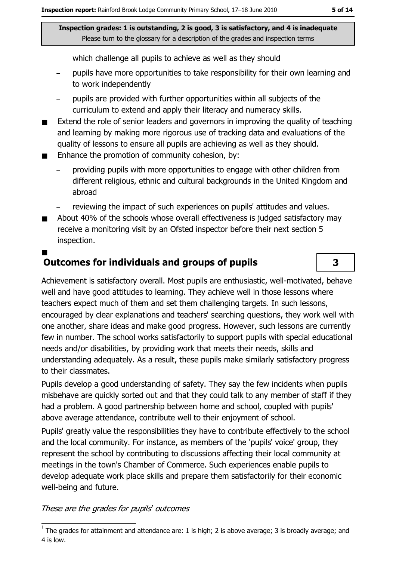which challenge all pupils to achieve as well as they should

- pupils have more opportunities to take responsibility for their own learning and to work independently
- pupils are provided with further opportunities within all subjects of the curriculum to extend and apply their literacy and numeracy skills.
- Extend the role of senior leaders and governors in improving the quality of teaching  $\blacksquare$ and learning by making more rigorous use of tracking data and evaluations of the quality of lessons to ensure all pupils are achieving as well as they should.
- Enhance the promotion of community cohesion, by:  $\blacksquare$ 
	- providing pupils with more opportunities to engage with other children from different religious, ethnic and cultural backgrounds in the United Kingdom and abroad
	- reviewing the impact of such experiences on pupils' attitudes and values.
- About 40% of the schools whose overall effectiveness is judged satisfactory may receive a monitoring visit by an Ofsted inspector before their next section 5 inspection.

## **Outcomes for individuals and groups of pupils**

Achievement is satisfactory overall. Most pupils are enthusiastic, well-motivated, behave well and have good attitudes to learning. They achieve well in those lessons where teachers expect much of them and set them challenging targets. In such lessons, encouraged by clear explanations and teachers' searching questions, they work well with one another, share ideas and make good progress. However, such lessons are currently few in number. The school works satisfactorily to support pupils with special educational needs and/or disabilities, by providing work that meets their needs, skills and understanding adequately. As a result, these pupils make similarly satisfactory progress to their classmates.

Pupils develop a good understanding of safety. They say the few incidents when pupils misbehave are quickly sorted out and that they could talk to any member of staff if they had a problem. A good partnership between home and school, coupled with pupils' above average attendance, contribute well to their enjoyment of school.

Pupils' greatly value the responsibilities they have to contribute effectively to the school and the local community. For instance, as members of the 'pupils' voice' group, they represent the school by contributing to discussions affecting their local community at meetings in the town's Chamber of Commerce. Such experiences enable pupils to develop adequate work place skills and prepare them satisfactorily for their economic well-being and future.

These are the grades for pupils' outcomes

3

 $\overline{1}$  The grades for attainment and attendance are: 1 is high; 2 is above average; 3 is broadly average; and 4 is low.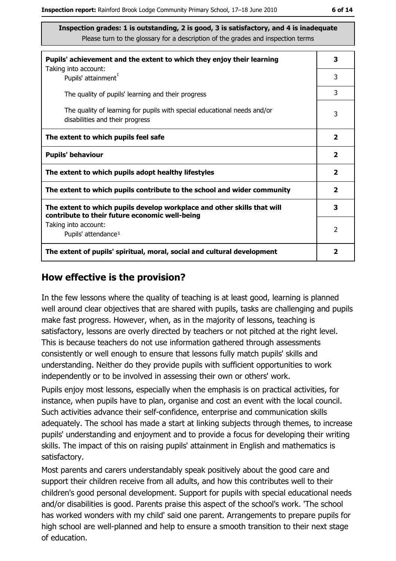| Pupils' achievement and the extent to which they enjoy their learning                                                     | 3            |
|---------------------------------------------------------------------------------------------------------------------------|--------------|
| Taking into account:<br>Pupils' attainment <sup>1</sup>                                                                   | 3            |
| The quality of pupils' learning and their progress                                                                        | 3            |
| The quality of learning for pupils with special educational needs and/or<br>disabilities and their progress               | 3            |
| The extent to which pupils feel safe                                                                                      | $\mathbf{2}$ |
| <b>Pupils' behaviour</b>                                                                                                  | $\mathbf{2}$ |
| The extent to which pupils adopt healthy lifestyles                                                                       | $\mathbf{2}$ |
| The extent to which pupils contribute to the school and wider community                                                   | $\mathbf{2}$ |
| The extent to which pupils develop workplace and other skills that will<br>contribute to their future economic well-being | 3            |
| Taking into account:<br>Pupils' attendance <sup>1</sup>                                                                   | 2            |
| The extent of pupils' spiritual, moral, social and cultural development                                                   | 2            |

#### How effective is the provision?

In the few lessons where the quality of teaching is at least good, learning is planned well around clear objectives that are shared with pupils, tasks are challenging and pupils make fast progress. However, when, as in the majority of lessons, teaching is satisfactory, lessons are overly directed by teachers or not pitched at the right level. This is because teachers do not use information gathered through assessments consistently or well enough to ensure that lessons fully match pupils' skills and understanding. Neither do they provide pupils with sufficient opportunities to work independently or to be involved in assessing their own or others' work.

Pupils enjoy most lessons, especially when the emphasis is on practical activities, for instance, when pupils have to plan, organise and cost an event with the local council. Such activities advance their self-confidence, enterprise and communication skills adequately. The school has made a start at linking subjects through themes, to increase pupils' understanding and enjoyment and to provide a focus for developing their writing skills. The impact of this on raising pupils' attainment in English and mathematics is satisfactory.

Most parents and carers understandably speak positively about the good care and support their children receive from all adults, and how this contributes well to their children's good personal development. Support for pupils with special educational needs and/or disabilities is good. Parents praise this aspect of the school's work. 'The school has worked wonders with my child' said one parent. Arrangements to prepare pupils for high school are well-planned and help to ensure a smooth transition to their next stage of education.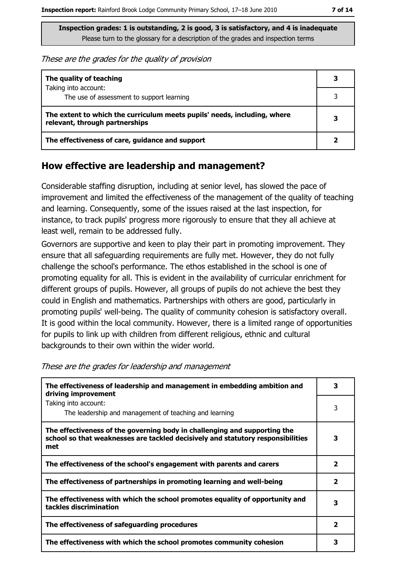These are the grades for the quality of provision

| The quality of teaching                                                                                    |  |
|------------------------------------------------------------------------------------------------------------|--|
| Taking into account:<br>The use of assessment to support learning                                          |  |
| The extent to which the curriculum meets pupils' needs, including, where<br>relevant, through partnerships |  |
| The effectiveness of care, guidance and support                                                            |  |

#### How effective are leadership and management?

Considerable staffing disruption, including at senior level, has slowed the pace of improvement and limited the effectiveness of the management of the quality of teaching and learning. Consequently, some of the issues raised at the last inspection, for instance, to track pupils' progress more rigorously to ensure that they all achieve at least well, remain to be addressed fully.

Governors are supportive and keen to play their part in promoting improvement. They ensure that all safeguarding requirements are fully met. However, they do not fully challenge the school's performance. The ethos established in the school is one of promoting equality for all. This is evident in the availability of curricular enrichment for different groups of pupils. However, all groups of pupils do not achieve the best they could in English and mathematics. Partnerships with others are good, particularly in promoting pupils' well-being. The quality of community cohesion is satisfactory overall. It is good within the local community. However, there is a limited range of opportunities for pupils to link up with children from different religious, ethnic and cultural backgrounds to their own within the wider world.

These are the grades for leadership and management

| The effectiveness of leadership and management in embedding ambition and<br>driving improvement                                                                     | 3                       |
|---------------------------------------------------------------------------------------------------------------------------------------------------------------------|-------------------------|
| Taking into account:<br>The leadership and management of teaching and learning                                                                                      | 3                       |
| The effectiveness of the governing body in challenging and supporting the<br>school so that weaknesses are tackled decisively and statutory responsibilities<br>met | 3                       |
| The effectiveness of the school's engagement with parents and carers                                                                                                | 2                       |
| The effectiveness of partnerships in promoting learning and well-being                                                                                              | $\overline{\mathbf{2}}$ |
| The effectiveness with which the school promotes equality of opportunity and<br>tackles discrimination                                                              | 3                       |
| The effectiveness of safeguarding procedures                                                                                                                        | $\overline{\mathbf{2}}$ |
| The effectiveness with which the school promotes community cohesion                                                                                                 | 3                       |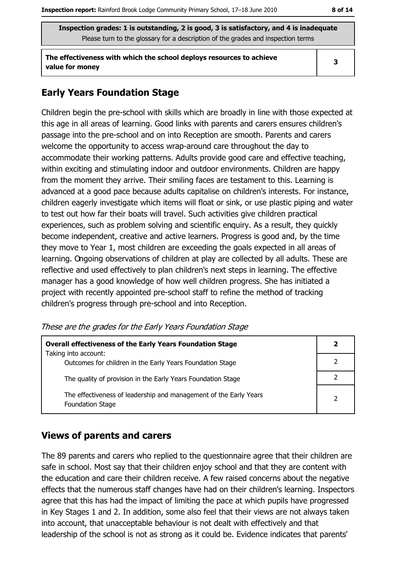The effectiveness with which the school deploys resources to achieve value for money

#### **Early Years Foundation Stage**

Children begin the pre-school with skills which are broadly in line with those expected at this age in all areas of learning. Good links with parents and carers ensures children's passage into the pre-school and on into Reception are smooth. Parents and carers welcome the opportunity to access wrap-around care throughout the day to accommodate their working patterns. Adults provide good care and effective teaching, within exciting and stimulating indoor and outdoor environments. Children are happy from the moment they arrive. Their smiling faces are testament to this. Learning is advanced at a good pace because adults capitalise on children's interests. For instance, children eagerly investigate which items will float or sink, or use plastic piping and water to test out how far their boats will travel. Such activities give children practical experiences, such as problem solving and scientific enquiry. As a result, they quickly become independent, creative and active learners. Progress is good and, by the time they move to Year 1, most children are exceeding the goals expected in all areas of learning. Ongoing observations of children at play are collected by all adults. These are reflective and used effectively to plan children's next steps in learning. The effective manager has a good knowledge of how well children progress. She has initiated a project with recently appointed pre-school staff to refine the method of tracking children's progress through pre-school and into Reception.

| These are the grades for the Early Years Foundation Stage |  |  |
|-----------------------------------------------------------|--|--|
|-----------------------------------------------------------|--|--|

| <b>Overall effectiveness of the Early Years Foundation Stage</b><br>Taking into account:     | 2             |
|----------------------------------------------------------------------------------------------|---------------|
| Outcomes for children in the Early Years Foundation Stage                                    |               |
| The quality of provision in the Early Years Foundation Stage                                 |               |
| The effectiveness of leadership and management of the Early Years<br><b>Foundation Stage</b> | $\mathcal{P}$ |

#### **Views of parents and carers**

The 89 parents and carers who replied to the questionnaire agree that their children are safe in school. Most say that their children enjoy school and that they are content with the education and care their children receive. A few raised concerns about the negative effects that the numerous staff changes have had on their children's learning. Inspectors agree that this has had the impact of limiting the pace at which pupils have progressed in Key Stages 1 and 2. In addition, some also feel that their views are not always taken into account, that unacceptable behaviour is not dealt with effectively and that leadership of the school is not as strong as it could be. Evidence indicates that parents'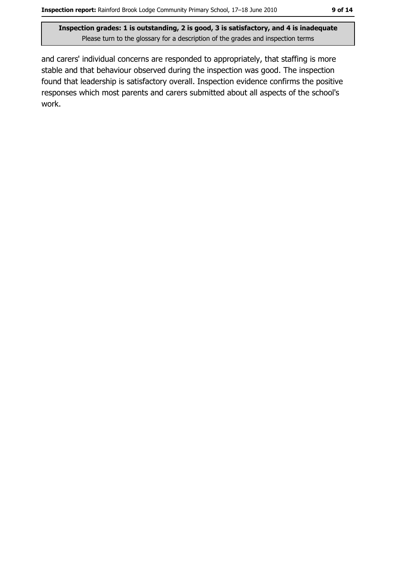and carers' individual concerns are responded to appropriately, that staffing is more stable and that behaviour observed during the inspection was good. The inspection found that leadership is satisfactory overall. Inspection evidence confirms the positive responses which most parents and carers submitted about all aspects of the school's work.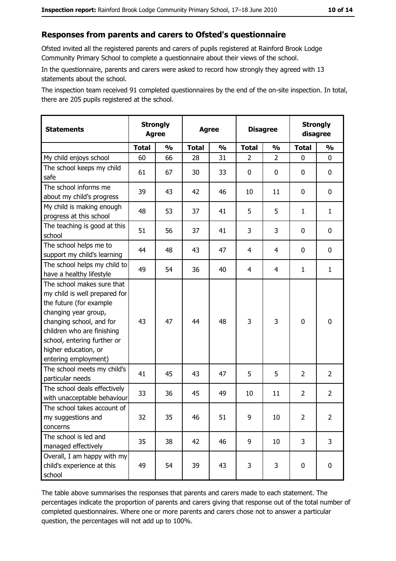#### Responses from parents and carers to Ofsted's questionnaire

Ofsted invited all the registered parents and carers of pupils registered at Rainford Brook Lodge Community Primary School to complete a questionnaire about their views of the school.

In the questionnaire, parents and carers were asked to record how strongly they agreed with 13 statements about the school.

The inspection team received 91 completed questionnaires by the end of the on-site inspection. In total, there are 205 pupils registered at the school.

| <b>Statements</b>                                                                                                                                                                                                                                       | <b>Strongly</b><br><b>Agree</b> |               | <b>Agree</b> |               | <b>Disagree</b> |                | <b>Strongly</b><br>disagree |                |
|---------------------------------------------------------------------------------------------------------------------------------------------------------------------------------------------------------------------------------------------------------|---------------------------------|---------------|--------------|---------------|-----------------|----------------|-----------------------------|----------------|
|                                                                                                                                                                                                                                                         | <b>Total</b>                    | $\frac{0}{0}$ | <b>Total</b> | $\frac{0}{0}$ | <b>Total</b>    | $\frac{1}{2}$  | <b>Total</b>                | $\frac{0}{0}$  |
| My child enjoys school                                                                                                                                                                                                                                  | 60                              | 66            | 28           | 31            | $\overline{2}$  | $\overline{2}$ | $\mathbf{0}$                | 0              |
| The school keeps my child<br>safe                                                                                                                                                                                                                       | 61                              | 67            | 30           | 33            | $\mathbf 0$     | 0              | 0                           | $\mathbf 0$    |
| The school informs me<br>about my child's progress                                                                                                                                                                                                      | 39                              | 43            | 42           | 46            | 10              | 11             | 0                           | 0              |
| My child is making enough<br>progress at this school                                                                                                                                                                                                    | 48                              | 53            | 37           | 41            | 5               | 5              | 1                           | $\mathbf{1}$   |
| The teaching is good at this<br>school                                                                                                                                                                                                                  | 51                              | 56            | 37           | 41            | 3               | 3              | 0                           | 0              |
| The school helps me to<br>support my child's learning                                                                                                                                                                                                   | 44                              | 48            | 43           | 47            | 4               | 4              | 0                           | $\mathbf 0$    |
| The school helps my child to<br>have a healthy lifestyle                                                                                                                                                                                                | 49                              | 54            | 36           | 40            | 4               | 4              | 1                           | $\mathbf{1}$   |
| The school makes sure that<br>my child is well prepared for<br>the future (for example<br>changing year group,<br>changing school, and for<br>children who are finishing<br>school, entering further or<br>higher education, or<br>entering employment) | 43                              | 47            | 44           | 48            | 3               | 3              | $\mathbf 0$                 | $\bf{0}$       |
| The school meets my child's<br>particular needs                                                                                                                                                                                                         | 41                              | 45            | 43           | 47            | 5               | 5              | $\overline{2}$              | $\overline{2}$ |
| The school deals effectively<br>with unacceptable behaviour                                                                                                                                                                                             | 33                              | 36            | 45           | 49            | 10              | 11             | $\overline{2}$              | $\overline{2}$ |
| The school takes account of<br>my suggestions and<br>concerns                                                                                                                                                                                           | 32                              | 35            | 46           | 51            | 9               | 10             | $\overline{2}$              | $\overline{2}$ |
| The school is led and<br>managed effectively                                                                                                                                                                                                            | 35                              | 38            | 42           | 46            | 9               | 10             | 3                           | 3              |
| Overall, I am happy with my<br>child's experience at this<br>school                                                                                                                                                                                     | 49                              | 54            | 39           | 43            | 3               | 3              | $\mathbf 0$                 | $\mathbf 0$    |

The table above summarises the responses that parents and carers made to each statement. The percentages indicate the proportion of parents and carers giving that response out of the total number of completed questionnaires. Where one or more parents and carers chose not to answer a particular question, the percentages will not add up to 100%.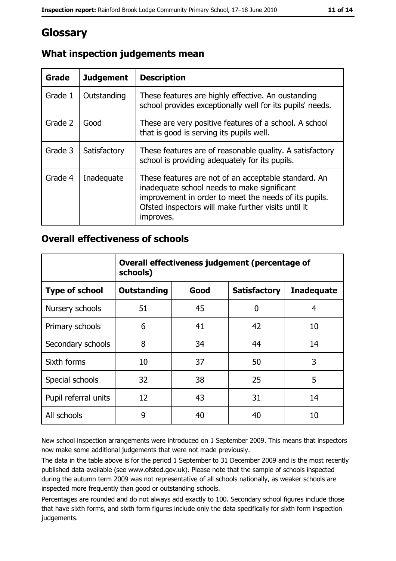# Glossary

| Grade   | <b>Judgement</b> | <b>Description</b>                                                                                                                                                                                                               |
|---------|------------------|----------------------------------------------------------------------------------------------------------------------------------------------------------------------------------------------------------------------------------|
| Grade 1 | Outstanding      | These features are highly effective. An oustanding<br>school provides exceptionally well for its pupils' needs.                                                                                                                  |
| Grade 2 | Good             | These are very positive features of a school. A school<br>that is good is serving its pupils well.                                                                                                                               |
| Grade 3 | Satisfactory     | These features are of reasonable quality. A satisfactory<br>school is providing adequately for its pupils.                                                                                                                       |
| Grade 4 | Inadequate       | These features are not of an acceptable standard. An<br>inadequate school needs to make significant<br>improvement in order to meet the needs of its pupils.<br>Ofsted inspectors will make further visits until it<br>improves. |

## What inspection judgements mean

#### **Overall effectiveness of schools**

|                       | Overall effectiveness judgement (percentage of<br>schools) |      |                     |                   |
|-----------------------|------------------------------------------------------------|------|---------------------|-------------------|
| <b>Type of school</b> | <b>Outstanding</b>                                         | Good | <b>Satisfactory</b> | <b>Inadequate</b> |
| Nursery schools       | 51                                                         | 45   | 0                   | 4                 |
| Primary schools       | 6                                                          | 41   | 42                  | 10                |
| Secondary schools     | 8                                                          | 34   | 44                  | 14                |
| Sixth forms           | 10                                                         | 37   | 50                  | 3                 |
| Special schools       | 32                                                         | 38   | 25                  | 5                 |
| Pupil referral units  | 12                                                         | 43   | 31                  | 14                |
| All schools           | 9                                                          | 40   | 40                  | 10                |

New school inspection arrangements were introduced on 1 September 2009. This means that inspectors now make some additional judgements that were not made previously.

The data in the table above is for the period 1 September to 31 December 2009 and is the most recently published data available (see www.ofsted.gov.uk). Please note that the sample of schools inspected during the autumn term 2009 was not representative of all schools nationally, as weaker schools are inspected more frequently than good or outstanding schools.

Percentages are rounded and do not always add exactly to 100. Secondary school figures include those that have sixth forms, and sixth form figures include only the data specifically for sixth form inspection judgements.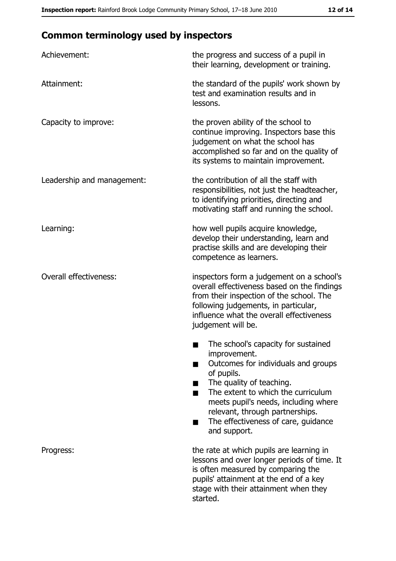# **Common terminology used by inspectors**

| Achievement:                  | the progress and success of a pupil in<br>their learning, development or training.                                                                                                                                                                                                                           |
|-------------------------------|--------------------------------------------------------------------------------------------------------------------------------------------------------------------------------------------------------------------------------------------------------------------------------------------------------------|
| Attainment:                   | the standard of the pupils' work shown by<br>test and examination results and in<br>lessons.                                                                                                                                                                                                                 |
| Capacity to improve:          | the proven ability of the school to<br>continue improving. Inspectors base this<br>judgement on what the school has<br>accomplished so far and on the quality of<br>its systems to maintain improvement.                                                                                                     |
| Leadership and management:    | the contribution of all the staff with<br>responsibilities, not just the headteacher,<br>to identifying priorities, directing and<br>motivating staff and running the school.                                                                                                                                |
| Learning:                     | how well pupils acquire knowledge,<br>develop their understanding, learn and<br>practise skills and are developing their<br>competence as learners.                                                                                                                                                          |
| <b>Overall effectiveness:</b> | inspectors form a judgement on a school's<br>overall effectiveness based on the findings<br>from their inspection of the school. The<br>following judgements, in particular,<br>influence what the overall effectiveness<br>judgement will be.                                                               |
|                               | The school's capacity for sustained<br>improvement.<br>Outcomes for individuals and groups<br>of pupils.<br>The quality of teaching.<br>The extent to which the curriculum<br>meets pupil's needs, including where<br>relevant, through partnerships.<br>The effectiveness of care, guidance<br>and support. |
| Progress:                     | the rate at which pupils are learning in<br>lessons and over longer periods of time. It<br>is often measured by comparing the<br>pupils' attainment at the end of a key<br>stage with their attainment when they<br>started.                                                                                 |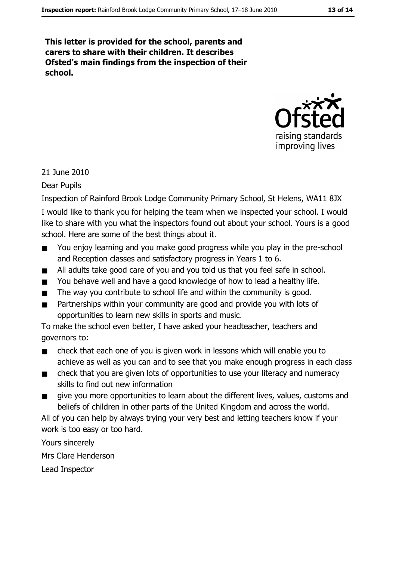This letter is provided for the school, parents and carers to share with their children. It describes Ofsted's main findings from the inspection of their school.



#### 21 June 2010

#### **Dear Pupils**

Inspection of Rainford Brook Lodge Community Primary School, St Helens, WA11 8JX I would like to thank you for helping the team when we inspected your school. I would like to share with you what the inspectors found out about your school. Yours is a good school. Here are some of the best things about it.

- You enjoy learning and you make good progress while you play in the pre-school and Reception classes and satisfactory progress in Years 1 to 6.
- All adults take good care of you and you told us that you feel safe in school.  $\blacksquare$
- You behave well and have a good knowledge of how to lead a healthy life.  $\blacksquare$
- The way you contribute to school life and within the community is good.  $\blacksquare$
- Partnerships within your community are good and provide you with lots of  $\blacksquare$ opportunities to learn new skills in sports and music.

To make the school even better, I have asked your headteacher, teachers and governors to:

- check that each one of you is given work in lessons which will enable you to  $\blacksquare$ achieve as well as you can and to see that you make enough progress in each class
- check that you are given lots of opportunities to use your literacy and numeracy  $\blacksquare$ skills to find out new information
- give you more opportunities to learn about the different lives, values, customs and  $\blacksquare$ beliefs of children in other parts of the United Kingdom and across the world.

All of you can help by always trying your very best and letting teachers know if your work is too easy or too hard.

Yours sincerely Mrs Clare Henderson Lead Inspector